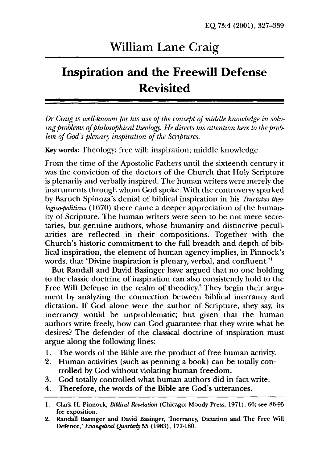## **William Lane Craig**

## **Inspiration and the Freewill Defense Revisited**

Dr *Craig is well-known for his use of the concept of middle knowledge in solving problems of philosophical theology. He directs his attention here to the problem of God's plenary inspiration of the Scriptures.* 

Key words: Theology; free will; inspiration; middle knowledge.

From the time of the Apostolic Fathers until the sixteenth century it was the conviction of the doctors of the Church that Holy Scripture is plenarily and verbally inspired. The human writers were merely the instruments through whom God spoke. With the controversy sparked by Baruch Spinoza's denial of biblical inspiration in his *Tractatus tkeo-Iogico-politicus* (1670) there came a deeper appreciation of the humanity of Scripture. The human writers were seen to be not mere secretaries, but genuine authors, whose humanity and distinctive peculiarities are reflected in their compositions. Together with the Church's historic commitment to the full breadth and depth of biblical inspiration, the element of human agency implies, in Pinnock's words, that 'Divine inspiration is plenary, verbal, and confluent.'<sup>1</sup>

But Randall and David Basinger have argued that no one holding to the classic doctrine of inspiration can also consistently hold to the Free Will Defense in the realm of theodicy.<sup>2</sup> They begin their argument by analyzing the connection between biblical inerrancy and dictation. If God alone were the author of Scripture, they say, its inerrancy would be unproblematic; but given that the human authors write freely, how can God guarantee that they write what he desires? The defender of the classical doctrine of inspiration must argue along the following lines:

- 1. The words of the Bible are the product of free human activity.
- 2. Human activities (such as penning a book) can be totally controlled by God without violating human freedom.
- 3. God totally controlled what human authors did in fact write.
- 4. Therefore, the words of the Bible are God's utterances.

<sup>1.</sup> Clark H. Pinnock, *Biblical Revelation* (Chicago: Moody Press, 1971),66; see 86-95 for exposition.

<sup>2.</sup> Randall Basinger and David Basinger, 'Inerrancy, Dictation and The Free Will Defence,' *Evangelical Quarterly* 55 (1983), 177-180.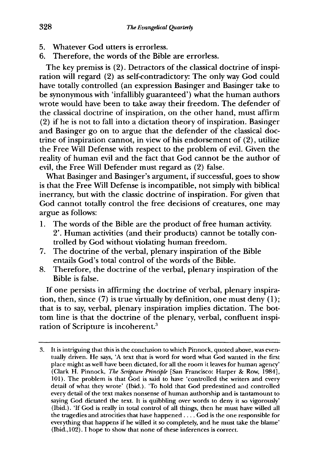- 5. Whatever God utters is errorless.
- 6. Therefore, the words of the Bible are errorless.

The key premiss is (2). Detractors of the classical doctrine of inspiration will regard (2) as self-contradictory: The only way God could have totally controlled (an expression Basinger and Basinger take to be synonymous with 'infallibly guaranteed') what the human authors wrote would have been to take away their freedom. The defender of the classical doctrine of inspiration, on the other hand, must affirm (2) if he is not to fall into a dictation theory of inspiration. Basinger and Basinger go on to argue that the defender of the classical doctrine of inspiration cannot, in view of his endorsement of (2), utilize the Free Will Defense with respect to the problem of evil. Given the reality of human evil and the fact that God cannot be the author of evil, the Free WiIl Defender must regard as (2) false.

What Basinger and Basinger's argument, if successful, goes to show is that the Free Will Defense is incompatible, not simply with biblical inerrancy, but with the classic doctrine of inspiration. For given that God cannot totally control the free decisions of creatures, one may argue as follows:

- 1. The words of the Bible are the product of free human activity. 2'. Human activities (and their products) cannot be totally controlled by God without violating human freedom.
- 7. The doctrine of the verbal, plenary inspiration of the Bible entails God's total control of the words of the Bible.
- 8. Therefore, the doctrine of the verbal, plenary inspiration of the Bible is false.

If one persists in affirming the doctrine of verbal, plenary inspiration, then, since (7) is true virtually by definition, one must deny (1); that is to say, verbal, plenary inspiration implies dictation. The bottom line is that the doctrine of the plenary, verbal, confluent inspiration of Scripture is incoherent.<sup>3</sup>

<sup>3.</sup> It is intriguing that this is the conclusion to which Pinnock, quoted above, was eventually driven. He says, 'A text that is word for word what God wanted in the first pla(:e might as well have been dictated, for all the room it leaves for human agency' (Clark H. Pinnock, *ne Scripture Principle* [San Francisco: Harper & Row, 1984], 101). The problem is that God is said to have 'controlled the writers and every detail of what they wrote' (Ibid.). 'To hold that God predestined and controlled every detail of the text makes nonsense of human authorship and is tantamount to saying God dictated the text. It is quibbling over words to deny it so vigorously' (Ibid.). 'If God is really in total control of all things, then he must have willed all the tragedies and atrocities that have happened .... God is the one responsible for everything that happens if he willed it so completely, and he must take the blame' (lbid.,102). I hope to show that none of these inferences is correct.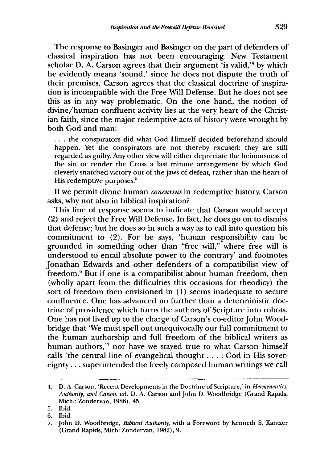The response to Basinger and Basinger on the part of defenders of classical inspiration has not been encouraging. New Testament scholar D. A. Carson agrees that their argument  $\tilde{i}$  is valid,  $\tilde{i}$  by which he evidently means 'sound,' since he does not dispute the truth of their premises. Carson agrees that the classical doctrine of inspiration is incompatible with the Free Will Defense. But he does not see this as in any way problematic. On the one hand, the notion of divine/human confluent activity lies at the very heart of the Christian faith, since the major redemptive acts of history were wrought by both God and man:

... the conspirators did what God Himself decided beforehand should happen. Yet the conspirators are not thereby excused: they are still regarded as guilty. Any other view will either depreciate the heinousness of the sin or render the Cross a last minute arrangement by which God cleverly snatched victory out of the jaws of defeat, rather than the heart of His redemptive purposes.<sup>5</sup>

Ifwe permit divine human *concursus* in redemptive history, Carson asks, why not also in biblical inspiration?

This line of response seems to indicate that Carson would accept (2) and reject the Free Will Defense. In fact, he does go on to dismiss that defense; but he does so in such a way as to call into question his commitment to (2). For he says, 'human responsibility can be grounded in something other than "free will," where free will is understood to entail absolute power to the contrary' and footnotes Jonathan Edwards and other defenders of a compatibilist view of freedom.<sup>6</sup> But if one is a compatibilist about human freedom, then (wholly apart from the difficulties this occasions for theodicy) the sort of freedom then envisioned in (1) seems inadequate to secure confluence. One has advanced no further than a deterministic doctrine of providence which turns the authors of Scripture into robots. One has not lived up to the charge of Carson 's co-editor John Woodbridge that 'We must spell out unequivocally our full commitment to the human authorship and full freedom of the biblical writers as human authors," nor have we stayed true to what Carson himself calls 'the central line of evangelical thought ... : God in His sovereignty ... superintended the freely composed human writings we call

<sup>4.</sup> D. A. Carson, 'Recent Developments in the Doctrine of Scripture,' in *Hermeneutics, Autharity, and Canon,* ed. D. A. Carson and John D. Woodbridge (Grand Rapids, Mich.: Zondervan, 1986),45.

<sup>5.</sup> Ibid.

<sup>6.</sup> Ibid.

<sup>7.</sup> John D. Woodbridge, *Biblical Autharity,* with a Foreword by Kenneth S. Kantzer (Grand Rapids, Mich: Zondervan, 1982),9.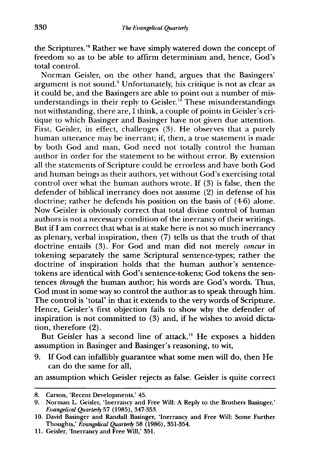the Scriptures. '8 Rather we have simply watered down the concept of freedom so as to be able to affirm determinism and, hence, God's total control.

Norman Geisler, on the other hand, argues that the Basingers' argument is not sound.9 Unfortunately, his critique is not as clear as it could be, and the Basingers are able to point out a number of misunderstandings in their reply to Geisler.<sup>10</sup> These misunderstandings not withstanding, there are, I think, a couple of points in Geisler's critique to which Basinger and Basinger have not given due attention. First, Geisler, in effect, challenges (3). He observes that a purely human utterance may be inerrant; if, then, a true statement is made by both God and man, God need not totally control the human author in order for the statement to be without error. By extension all the statements of Scripture could be errorless and have both God and human beings as their authors, yet without God's exercising total control over what the human authors wrote. If (3) is false, then the defender of biblical inerrancy does not assume (2) in defense of his doctrine; rather he defends his position on the basis of (4-6) alone. Now Geisler is obviously correct that total divine control of human authors is not a necessary condition of the inerrancy of their writings. But if I am correct that what is at stake here is not so much inerrancy as plenary, verbal inspiration, then (7) tells us that the truth of that doctrine entails (3). For God and man did not merely *concur* in tokening separately the same Scriptural sentence-types; rather the doctrine of inspiration holds that the human author's sentencetokens are identical with God's sentence-tokens; God tokens the sentences *through* the human author; his words are God's words. Thus, God must in some way so control the author as to speak through him. The control is 'total' in that it extends to the very words of Scripture. Hence, Geisler's first objection fails to show why the defender of inspiration is not committed to (3) and, if he wishes to avoid dictation, therefore (2).

But Geisler has a second line of attack.<sup>11</sup> He exposes a hidden assumption in Basinger and Basinger's reasoning, to wit,

9. If God can infallibly guarantee what some men will do, then He can do the same for all,

an assumption which Geisler rejects as false. Geisler is quite correct

<sup>8.</sup> Carson, 'Recent Developments; 45.

<sup>9.</sup> Norman L. Geisler, 'Inerrancy and Free Will: A Reply to the Brothers Basinger,' *Evangelical Q)tarlerly* 57 (1985), 347-353.

<sup>10.</sup> David Basinger and Randall Basinger, 'Inerrancy and Free Will: Some Further Thoughts; *Evangelical Q)tarterly* 58 (1986),351-354.

<sup>11.</sup> Geisler, 'Inerrancy and Free Will; 351.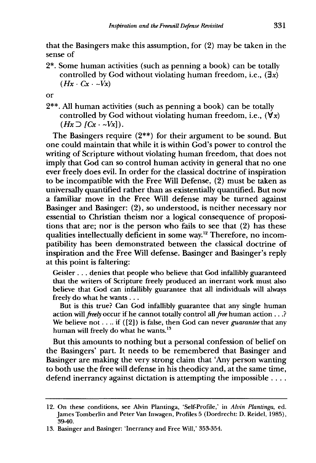that the Basingers make this assumption, for (2) may be taken in the sense of

2\*. Some human activities (such as penning a book) can be totally controlled by God without violating human freedom, i.e.,  $(\exists x)$  $(Hx \cdot Cx \cdot -Vx)$ 

or

2\*\*. All human activities (such as penning a book) can be totally controlled by God without violating human freedom, i.e.,  $(\forall x)$  $(Hx \supset ICx \cdot \sim Vx)$ ).

The Basingers require (2\*\*) for their argument to be sound. But one could maintain that while it is within God's power to control the writing of Scripture without violating human freedom, that does not imply that God can so control human activity in general that no one ever freely does evil. In order for the classical doctrine of inspiration to be incompatible with the Free Will Defense, (2) must be taken as universally quantified rather than as existentially quantified. But now a familiar move in the Free Will defense may be turned against Basinger and Basinger: (2), so understood, is neither necessary nor essential to Christian theism nor a logical consequence of propositions that are; nor is the person who fails to see that (2) has these qualities intellectually deficient in some way.<sup>12</sup> Therefore, no incompatibility has been demonstrated between the classical doctrine of inspiration and the Free Will defense. Basinger and Basinger's reply at this point is faltering:

Geisler ... denies that people who believe. that God infallibly guaranteed that the writers of Scripture freely produced an inerrant work must also believe that God can infallibly guarantee that all individuals will always freely do what he wants ...

But is this true? Can God infallibly guarantee that any single human action will *freely* occur if he cannot totally control all *free* human action ... ? We believe not .... if ([2]) is false, then God can never *guarantee* that any human will freely do what he wants.<sup>13</sup>

But this amounts to nothing but a personal confession of belief on the Basingers' part. It needs to be remembered that Basinger and Basinger are making the very strong claim that 'Any person wanting to both use the free will defense in his theodicy and, at the same time, defend inerrancy against dictation is attempting the impossible ....

<sup>12.</sup> On these conditions, see Alvin Plantinga, 'Self-Profile,' in *Alvin Plantinga,* ed. James Tomberlin and Peter Van Inwagen, Profiles 5 (Dordrecht: D. Reidel, 1985), 39-40.

<sup>13.</sup> Basinger and Basinger: 'Inerrancy and Free Will; 353-354.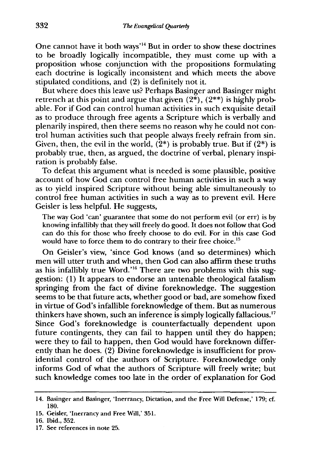One cannot have it both ways'14 But in order to show these doctrines to be broadly logically incompatible, they must come up with a proposition whose conjunction with the propositions formulating each doctrine is logically inconsistent and which meets the above stipulated conditions, and (2) is definitely not it.

But where does this leave us? Perhaps Basinger and Basinger might retrench at this point and argue that given  $(2^*)$ ,  $(2^{**})$  is highly probable. For if God can control human activities in such exquisite detail as to produce through free agents a Scripture which is verbally and plenarily inspired, then there seems no reason why he could not control human activities such that people always freely refrain from sin. Given, then, the evil in the world,  $(2^*)$  is probably true. But if  $(2^*)$  is probably true, then, as argued, the doctrine of verbal, plenary inspiration is probably false.

To defeat this argument what is needed is some plausible, positive account of how God can control free human activities in such a way as to yield inspired Scripture without being able simultaneously to control free human activities in such a way as to prevent evil. Here Geisler is less helpful. He suggests,

The way God 'can' guarantee that some do not perform evil (or err) is by knowing infallibly that they will freely do good. It does not follow that God can do this for those who freely choose to do evil. For in this case God would have to force them to do contrary to their free choice.<sup>15</sup>

On Geisler's view, 'since God knows (and so determines) which men will utter truth and when, then God can also affirm these truths as his infallibly true Word.'<sup>16</sup> There are two problems with this suggestion: (1) It appears to endorse an untenable theological fatalism springing from the fact of divine foreknowledge. The suggestion seems to be that future acts, whether good or bad, are somehow fixed in virtue of God's infallible foreknowledge of them. But as numerous thinkers have shown, such an inference is simply logically fallacious.<sup>17</sup> Since God's foreknowledge is counterfactually dependent upon future contingents, they can fail to happen until they do happen; were they to fail to happen, then God would have foreknown differently than he does. (2) Divine foreknowledge is insufficient for providential control of the authors of Scripture. Foreknowledge only informs God of what the authors of Scripture will freely write; but such knowledge comes too late in the order of explanation for God

<sup>14.</sup> Basinger and Basinger, 'Inerrancy, Dictation, and the Free Will Defense,' 179; cf. 180.

<sup>15.</sup> Geisler, 'Inerrancy and Free Will,' 351.

<sup>16.</sup> Ibid., 352.

<sup>17.</sup> See references in note 25.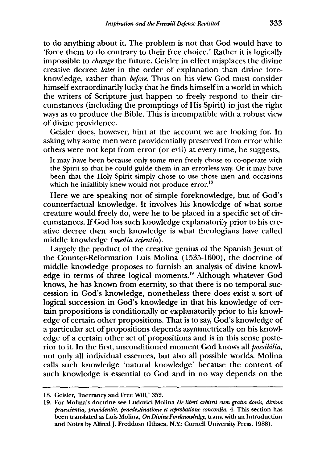to do anything about it. The problem is not that God would have to 'force them to do contrary to their free choice.' Rather it is logically impossible to *change* the future. Geisler in effect misplaces the divine creative decree *later* in the order of explanation than divine foreknowledge, rather than *before.* Thus on his view God must consider himself extraordinarily lucky that he finds himself in a world in which the writers of Scripture just happen to freely respond to their circumstances (including the promptings of His Spirit) in just the right ways as to produce the Bible. This is incompatible with a robust view of divine providence.

Geisler does, however, hint at the account we are looking for. In asking why some men were providentially preserved from error while others were not kept from error (or evil) at every time, he suggests,

It may have been because only some men freely chose to co-operate with the Spirit so that he could guide them in an errorless way. Or it may have been that the Holy Spirit simply chose to use those men and occasions which he infallibly knew would not produce error.<sup>18</sup>

Here we are speaking not of simple foreknowledge, but of God's counterfactual knowledge. It involves his knowledge of what some creature would freely do, were he to be placed in a specific set of circumstances. If God has such knowledge explanatorily prior to his creative decree then such knowledge is what theologians have called middle knowledge *(media scientia).* 

Largely the product of the creative genius of the Spanish Jesuit of the Counter-Reformation Luis Molina (1535-1600), the doctrine of middle knowledge proposes to furnish an analysis of divine knowledge in terms of three logical moments.<sup>19</sup> Although whatever God knows, he has known from eternity, so that there is no temporal succession in God's knowledge, nonetheless there does exist a sort of logical succession in God's knowledge in that his knowledge of certain propositions is conditionally or explanatorily prior to his knowledge of certain other propositions. That is to say, God's knowledge of a particular set of propositions depends asymmetrically on his knowledge of a certain other set of propositions and is in this sense posterior to it. In the first, unconditioned moment God knows all *possibilia,*  not only all individual essences, but also all possible worlds. Molina calls such knowledge 'natural knowledge' because the content of such knowledge is essential to God and in no way depends on the

<sup>18.</sup> Geisler, 'Inerrancy and Free Will,' 352.

<sup>19.</sup> For Molina's doctrine see Ludovici Molina *De liberi arbitrii cum gratia donis, divina praescientia, pruuidentia, praedestinatione et reJnvbatione concordia.* 4. This section has been translated as Luis Molina, *On Divine Foreknowledge,* trans. with an Introduction and Notes by Alfred J. Freddoso (Ithaca, N.Y.: Cornell University Press, 1988).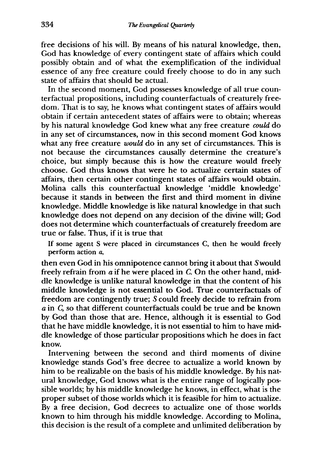free decisions of his will. By means of his natural knowledge, then, God has knowledge of every contingent state of affairs which could possibly obtain and of what the exemplification of the individual essence of any free creature could freely choose to do in any such state of affairs that should be actual.

In the second moment, God possesses knowledge of all true counterfactual propositions, including counterfactuals of creaturely freedom. That is to say, he knows what contingent states of affairs would obtain if certain antecedent states of affairs were to obtain; whereas by his natural knowledge God knew what any free creature *could* do in any set of circumstances, now in this second moment God knows what any free creature *would* do in any set of circumstances. This is not because the circumstances causally determine the creature's choice, but simply because this is how the creature would freely choose. God thus knows that were he to actualize certain states of affairs, then certain other contingent states of affairs would obtain. Molina calls this counterfactual knowledge 'middle knowledge' because it stands in between the first and third moment in divine knowledge. Middle knowledge is like natural knowledge in that such knowledge does not depend on any decision of the divine will; God does not determine which counterfactuals of creaturely freedom are true or false. Thus, if it is true that

If some agent S were placed in circumstances C, then he would freely perform action *a,* 

then even God in his omnipotence cannot bring it about that Swould freely refrain from a if he were placed in C. On the other hand, middle knowledge is unlike natural knowledge in that the content of his middle knowledge is not essential to God. True counterfactuals of freedom are contingently true; S could freely decide to refrain from a in C, so that different counterfactuals could be true and be known by God than those that are. Hence, although it is essential to God that he have middle knowledge, it is not essential to him to have middle knowledge of those particular propositions which he does in fact know.

Intervening between the second and third moments of divine knowledge stands God's free decree to actualize a world known by him to be realizable on the basis of his middle knowledge. By his natural knowledge, God knows what is the entire range of logically possible worlds; by his middle knowledge he knows, in effect, what is the proper subset of those worlds which it is feasible for him to actualize. By a free decision, God decrees to actualize one of those worlds known to him through his middle knowledge. According to Molina, this decision is the result of a complete and unlimited deliberation by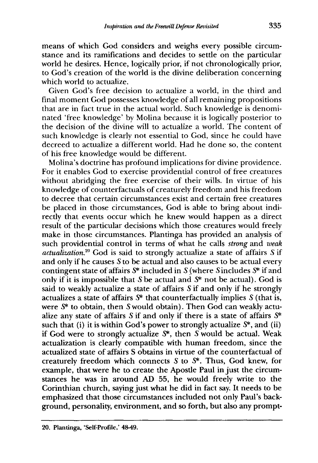means of which God considers and weighs every possible circumstance and its ramifications and decides to settle on the particular world he desires. Hence, logically prior, if not chronologically prior, to God's creation of the world is the divine deliberation concerning which world to actualize.

Given God's free decision to actualize a world, in the third and final moment God possesses knowledge of all remaining propositions that are in fact true in the actual world. Such knowledge is denominated 'free knowledge' by Molina because it is logically posterior to the decision of the divine will to actualize a world. The content of such knowledge is clearly not essential to God, since he could have decreed to actualize a different world. Had he done so, the content of his free knowledge would be different.

Molina's doctrine has profound implications for divine providence. For it enables God to exercise providential control of free creatures without abridging the free exercise of their wills. In virtue of his knowledge of counterfactuals of creaturely freedom and his freedom to decree that certain circumstances exist and certain free creatures be placed in those circumstances, God is able to bring about indirectly that events occur which he knew would happen as a direct result of the particular decisions which those creatures would freely make in those circumstances. Plantinga has provided an analysis of such providential control in terms of what he calls *strong* and *weak actualization.20* God is said to strongly actualize a state of affairs S if and only if he causes S to be actual and also causes to be actual every contingent state of affairs  $S^*$  included in S (where S includes  $S^*$  if and only if it is impossible that S be actual and  $S^*$  not be actual). God is said to weakly actualize a state of affairs S if and only if he strongly actualizes a state of affairs  $S^*$  that counterfactually implies  $S$  (that is, were  $S^*$  to obtain, then S would obtain). Then God can weakly actualize any state of affairs  $S$  if and only if there is a state of affairs  $S^*$ such that (i) it is within God's power to strongly actualize  $S^*$ , and (ii) if God were to strongly actualize  $S^*$ , then S would be actual. Weak actualization is clearly compatible with human freedom, since the actualized state of affairs S obtains in virtue of the counterfactual of creaturely freedom which connects  $S$  to  $S^*$ . Thus, God knew, for example, that were he to create the Apostle Paul in just the circumstances he was in around AD 55, he would freely write to the Corinthian church, saying just what he did in fact say. It needs to be emphasized that those circumstances included not only Paul's background, personality, environment, and so forth, but also any prompt-

<sup>20.</sup> Plantinga, 'Self-Profile,' 48-49.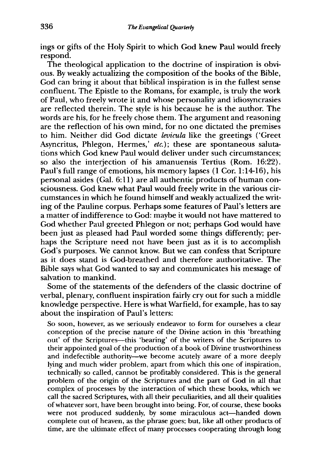ings or gifts of the Holy Spirit to which God knew Paul would freely respond.

The theological application to the doctrine of inspiration is obvious. By weakly actualizing the composition of the books of the Bible, God can bring it about that biblical inspiration is in the fullest sense confluent. The Epistle to the Romans, for example, is truly the work of Paul, who freely wrote it and whose personality and idiosyncrasies are reflected therein. The style is his because he is the author. The words are his, for he freely chose them. The argument and reasoning are the reflection of his own mind, for no one dictated the premises to him. Neither did God dictate *levicula* like the greetings ('Greet Asyncritus, Phlegon, Hermes,' *etc.);* these are spontaneous salutations which God knew Paul would deliver under such circumstances; so also the interjection of his amanuensis Tertius (Rom. 16:22). Paul's full range of emotions, his memory lapses (1 Cor. 1:14-16), his personal asides (Gal. 6: 11) are all authentic products of human consciousness. God knew what Paul would freely write in the various circumstances in which he found himself and weakly actualized the writing of the Pauline corpus. Perhaps some features of Paul's letters are a matter of indifference to God: maybe it would not have mattered to God whether Paul greeted Phlegon or not; perhaps God would have been just as pleased had Paul worded some things differently; perhaps the Scripture need not have been just as it is to accomplish God's purposes. We cannot know. But we can confess that Scripture as it does stand is God-breathed and therefore authoritative. The Bible says what God wanted to say and communicates his message of salvation to mankind.

Some of the statements of the defenders of the classic doctrine of verbal, plenary, confluent inspiration fairly cry out for such a middle knowledge perspective. Here is what Warfield, for example, has to say about the inspiration of Paul's letters:

So soon, however, as we seriously endeavor to form for ourselves a clear conception of the precise nature of the Divine action in this 'breathing out' of the Scriptures-this 'bearing' of the writers of the Scriptures to their appointed goal of the production of a book of Divine trustworthiness and indefectible authority—we become acutely aware of a more deeply lying and much wider problem, apart from which this one of inspiration, technically so called, cannot be profitably considered. This is the general problem of the origin of the Scriptures and the part of God in all that complex of processes by the interaction of which these books, which we call the sacred Scriptures, with all their peculiarities, and all their qualities of whatever sort, have been brought into being. For, of course, these books were not produced suddenly, by some miraculous act-handed down complete out of heaven, as the phrase goes; but, like all other products of time, are the ultimate effect of many processes cooperating through long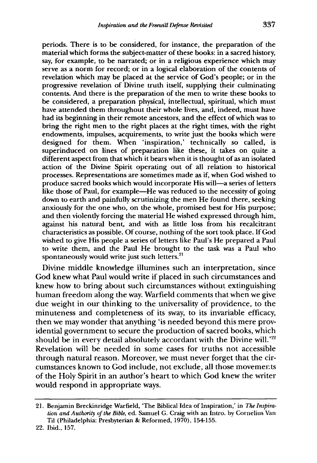periods. There is to be considered, for instance, the preparation of the material which forms the subject-matter of these books: in a sacred history, say, for example, to be narrated; or in a religious experience which may serve as a norm for record; or in a logical elaboration of the contents of revelation which may be placed at the service of God's people; or in the progressive revelation of Divine truth itself, supplying their culminating contents. And there is the preparation of the men to write these books to be considered, a preparation physical, intellectual, spiritual, which must have attended them throughout their whole lives, and, indeed, must have had its beginning in their remote ancestors, and the effect of which was to bring the right men to the right places at the right times, with the right endowments, impulses, acquirements, to write just the books which were designed for them. When 'inspiration,' technically so called, is superinduced on lines of preparation like these, it takes on quite a different aspect from that which it bears when it is thought of as an isolated action of the Divine Spirit operating out of all relation to historical processes. Representations are sometimes made as if, when God wished to produce sacred books which would incorporate His will-a series of letters like those of Paul, for example—He was reduced to the necessity of going down to earth and painfully scrutinizing the men He found there, seeking anxiously for the one who, on the whole, promised best for His purpose; and then violently forcing the material He wished expressed through him, against his natural bent, and with as little loss from his recalcitrant characteristics as possible. Of course, nothing of the sort took place. If God wished to give His people a series of letters like Paul's He prepared a Paul to write them, and the Paul He brought to the task was a Paul who spontaneously would write just such letters. $21$ 

Divine middle knowledge illumines such an interpretation, since God knew what Paul would write if placed in such circumstances and knew how to bring about such circumstances without extinguishing human freedom along the way. Warfield comments that when we give due weight in our thinking to the universality of providence, to the minuteness and completeness of its sway, to its invariable efficacy, then we may wonder that anything 'is needed beyond this mere providential government to secure the production of sacred books, which should be in every detail absolutely accordant with the Divine will.'<sup>22</sup> Revelation will be needed in some cases for truths not accessible through natural reason. Moreover, we must never forget that the circumstances known to God include, not exclude, all those movemer.ts of the Holy Spirit in an author's heart to which God knew the writer would respond in appropriate ways.

<sup>21.</sup> Benjamin Breckinridge Warfield, 'The Biblical Idea of Inspiration,' in *The Inspiration and Authority of the Bible,* ed. Samuel G. Craig with an Intro. by Cornelius Van Til (Philadelphia: Presbyterian & Reformed, 1970), 154-155.

<sup>22.</sup> Ibid., 157.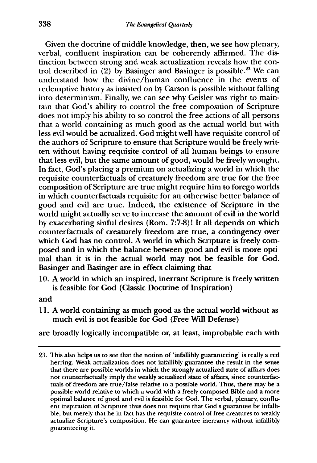Given the doctrine of middle knowledge, then, we see how plenary, verbal, confluent inspiration can be coherently affirmed. The distinction between strong and weak actualization reveals how the control described in  $(2)$  by Basinger and Basinger is possible.<sup>23</sup> We can understand how the divine/human confluence in the events of redemptive history as insisted on by Carson is possible without falling into determinism. Finally, we can see why Geisler was right to maintain that God's ability to control the free composition of Scripture does not imply his ability to so control the free actions of all persons that a world containing as much good as the actual world but with less evil would be actualized. God might well have requisite control of the authors of Scripture to ensure that Scripture would be freely written without having requisite control of all human beings to ensure that less evil, but the same amount of good, would be freely wrought. In fact, God's placing a premium on actualizing a world in which the requisite counterfactuals of creaturely freedom are true for the free composition of Scripture are true might require him to forego worlds in which counterfactuals requisite for an otherwise better balance of good and evil are true. Indeed, the existence of Scripture in the world might actually serve to increase the amount of evil in the world by exacerbating sinful desires (Rom. 7:7-8)! It all depends on which counterfactuals of creaturely freedom are true, a contingency over which God has no control. A world in which Scripture is freely composed and in which the balance between good and evil is more optimal than it is in the actual world may not be feasible for God. Basinger and Basinger are in effect claiming that

10. A world in which an inspired, inerrant Scripture is freely written is feasible for God (Classic Doctrine of Inspiration)

and

11. A world containing as much good as the actual world without as much evil is not feasible for God (Free Will Defense)

are broadly logically incompatible or, at least, improbable each with

<sup>23.</sup> This also helps us to see that the notion of 'infallibly guaranteeing' is really a red herring. Weak actualization does not infallibly guarantee the result in the sense that there are possible worlds in which the strongly actualized state of affairs does not counterfactually imply the weakly actualized state of affairs, since counterfactuals of freedom are true/false relative to a possible world. Thus, there may be a possible world relative to which a world with a freely composed Bible and a more optimal balance of good and evil is feasible for God. The verbal, plenary, confluent inspiration of Scripture thus does not require that God's guarantee be infallible, but merely that he in fact has the requisite control of free creatures to weakly actualize Scripture's composition. He can guarantee inerrancy without infallibly guaranteeing it.